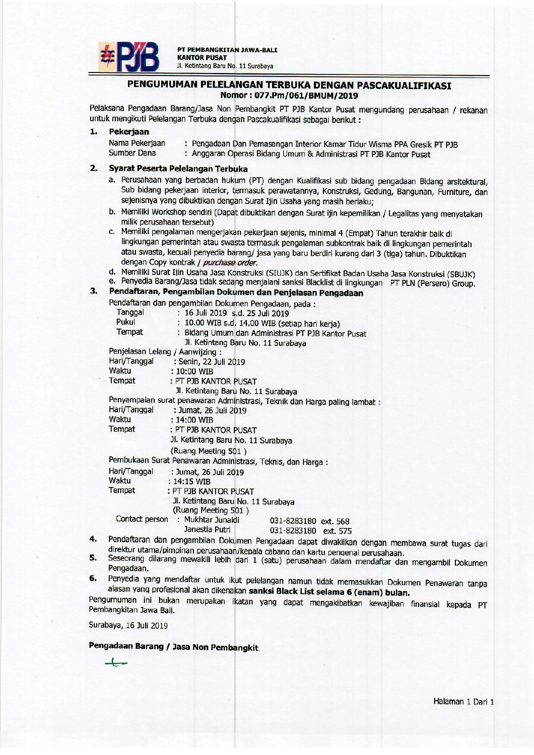

## PENGUMUMAN PELELANGAN TERBUKA DENGAN PASCAKUALIFIKASI Nomor: 077.Pm/061/BMUM/2019

Pelaksana Pengadaan Barang/Jasa Non Pembangkit PT PJB Kantor Pusat mengundang perusahaan / rekanan untuk mengikuti Pelelangan Terbuka dengan Pascakualifikasi sebagai berikut:

#### $\mathbf{1}$ **Pekeriaan**

Nama Pekerjaan : Pengadaan Dan Pemasangan Interior Kamar Tidur Wisma PPA Gresik PT PJB **Sumber Dana** : Anggaran Operasi Bidang Umum & Administrasi PT PJB Kantor Pusat

#### $2<sup>1</sup>$ Syarat Peserta Pelelangan Terbuka

- a. Perusahaan yang berbadan hukum (PT) dengan Kualifikasi sub bidang pengadaan Bidang arsitektural, Sub bidang pekerjaan interior, termasuk perawatannya, Konstruksi, Gedung, Bangunan, Furniture, dan sejenisnya yang dibuktikan dengan Surat Ijin Usaha yang masih berlaku;
- b. Memiliki Workshop sendiri (Dapat dibuktikan dengan Surat ijin kepemilikan / Legalitas yang menyatakan milik perusahaan tersebut)
- c. Memiliki pengalaman mengerjakan pekerjaan sejenis, minimal 4 (Empat) Tahun terakhir baik di lingkungan pemerintah atau swasta termasuk pengalaman subkontrak baik di lingkungan pemerintah atau swasta, kecuali penyedia barang/ jasa yang baru berdiri kurang dari 3 (tiga) tahun. Dibuktikan dengan Copy kontrak / purchase order.
- d. Memiliki Surat Iiin Usaha Jasa Konstruksi (SIUJK) dan Sertifikat Badan Usaha Jasa Konstruksi (SBUJK)
- e. Penyedia Barang/Jasa tidak sedang menjalani sanksi Blacklist di lingkungan PT PLN (Persero) Group.

#### $3.$ Pendaftaran, Pengambilan Dokumen dan Penjelasan Pengadaan Pendaftaran dan nengambilan Dokumen Pengadaan, pada i

|                | . Chadraigh dan pengambian Dokumen rengaudan, paud                         |  |
|----------------|----------------------------------------------------------------------------|--|
| Tanggal        | : 16 Juli 2019 s.d. 25 Juli 2019                                           |  |
| Pukul          | : 10.00 WIB s.d. 14.00 WIB (setiap hari kerja)                             |  |
| Tempat         | : Bidang Umum dan Administrasi PT PJB Kantor Pusat                         |  |
|                | Jl. Ketintang Baru No. 11 Surabaya                                         |  |
|                | Penjelasan Lelang / Aanwijzing :                                           |  |
| Hari/Tanggal   | : Senin, 22 Juli 2019                                                      |  |
| Waktu          | $: 10:00$ WIB                                                              |  |
| Tempat         | : PT PJB KANTOR PUSAT                                                      |  |
|                | Jl. Ketintang Baru No. 11 Surabaya                                         |  |
|                | Penyampaian surat penawaran Administrasi, Teknik dan Harga paling lambat : |  |
| Hari/Tanggal   | : Jumat, 26 Juli 2019                                                      |  |
| Waktu          | $: 14:00$ WIB                                                              |  |
| Tempat         | : PT PJB KANTOR PUSAT                                                      |  |
|                | Jl. Ketintang Baru No. 11 Surabaya                                         |  |
|                | (Ruang Meeting 501)                                                        |  |
|                | Pembukaan Surat Penawaran Administrasi, Teknis, dan Harga :                |  |
| Hari/Tanggal   | : Jumat, 26 Juli 2019                                                      |  |
| Waktu          | $: 14:15$ WIB                                                              |  |
| Tempat         | : PT PJB KANTOR PUSAT                                                      |  |
|                | Jl. Ketintang Baru No. 11 Surabaya                                         |  |
|                | (Ruang Meeting 501)                                                        |  |
| Contact person | : Mukhtar Junaidi<br>031-8283180 ext. 568                                  |  |
|                | Janestia Putri<br>031-8283180 ext. 575                                     |  |
|                | Pendaftaran dan pengambilan Dokumen Pengadaan dapat diwakilkan dengan r    |  |
|                |                                                                            |  |

- nembawa surat tugas dari direktur utama/pimpinan perusahaan/kepala cabang dan kartu pengenal perusahaan. 5.
- Seseorang dilarang mewakili lebih dari 1 (satu) perusahaan dalam mendaftar dan mengambil Dokumen Pengadaan.
- Penyedia yang mendaftar untuk ikut pelelangan namun tidak memasukkan Dokumen Penawaran tanpa 6. alasan yang profesional akan dikenakan sanksi Black List selama 6 (enam) bulan.

Pengumuman ini bukan merupakan ikatan yang dapat mengakibatkan kewajiban finansial kepada PT Pembangkitan Jawa Bali.

Surabaya, 16 Juli 2019

4.

# Pengadaan Barang / Jasa Non Pembangkit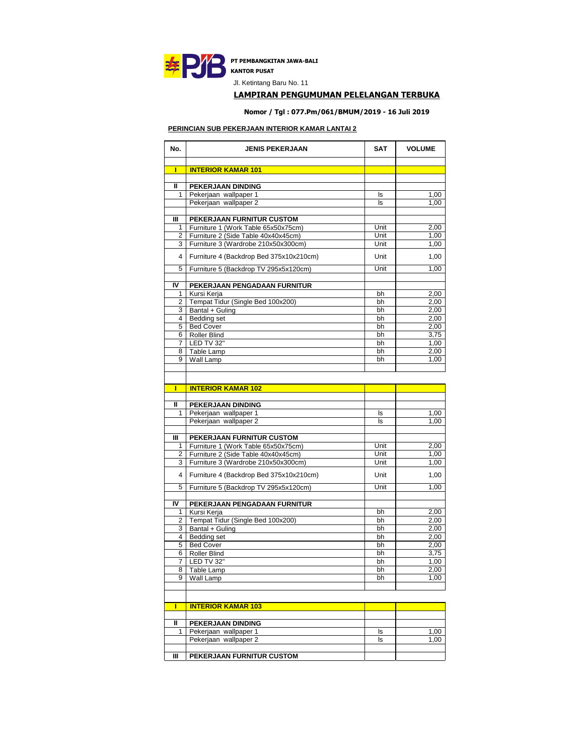

Jl. Ketintang Baru No. 11

## **LAMPIRAN PENGUMUMAN PELELANGAN TERBUKA**

**Nomor / Tgl : 077.Pm/061/BMUM/2019 - 16 Juli 2019**

#### **PERINCIAN SUB PEKERJAAN INTERIOR KAMAR LANTAI 2**

| No.            | <b>JENIS PEKERJAAN</b>                                           | <b>SAT</b> | <b>VOLUME</b> |
|----------------|------------------------------------------------------------------|------------|---------------|
|                |                                                                  |            |               |
| П              | <b>INTERIOR KAMAR 101</b>                                        |            |               |
| Ш              | PEKERJAAN DINDING                                                |            |               |
| 1              | Pekerjaan wallpaper 1                                            | ls         | 1,00          |
|                | Pekerjaan wallpaper 2                                            | ls         | 1,00          |
|                |                                                                  |            |               |
| Ш<br>1         | PEKERJAAN FURNITUR CUSTOM<br>Furniture 1 (Work Table 65x50x75cm) | Unit       | 2,00          |
| 2              | Furniture 2 (Side Table 40x40x45cm)                              | Unit       | 1,00          |
| 3              | Furniture 3 (Wardrobe 210x50x300cm)                              | Unit       | 1,00          |
| 4              | Furniture 4 (Backdrop Bed 375x10x210cm)                          | Unit       | 1,00          |
| 5              | Furniture 5 (Backdrop TV 295x5x120cm)                            | Unit       | 1,00          |
| I۷             |                                                                  |            |               |
| 1              | PEKERJAAN PENGADAAN FURNITUR<br>Kursi Kerja                      | bh         | 2,00          |
| 2              | Tempat Tidur (Single Bed 100x200)                                | bh         | 2,00          |
| 3              | Bantal + Guling                                                  | bh         | 2,00          |
| $\overline{4}$ | <b>Bedding set</b>                                               | bh         | 2,00          |
| 5              | <b>Bed Cover</b>                                                 | bh         | 2,00          |
| 6              | Roller Blind                                                     | bh         | 3,75          |
| $\overline{7}$ | LED TV 32"                                                       | bh         | 1,00          |
|                | 8 Table Lamp                                                     | bh         | 2,00          |
| 9              | Wall Lamp                                                        | bh         | 1,00          |
|                |                                                                  |            |               |
| г              | <b>INTERIOR KAMAR 102</b>                                        |            |               |
|                |                                                                  |            |               |
| Ш              | <b>PEKERJAAN DINDING</b>                                         |            |               |
| 1              | Pekerjaan wallpaper 1                                            | ls         | 1,00          |
|                | Pekerjaan wallpaper 2                                            | ls         | 1,00          |
| Ш              | PEKERJAAN FURNITUR CUSTOM                                        |            |               |
| 1              | Furniture 1 (Work Table 65x50x75cm)                              | Unit       | 2,00          |
| 2              | Furniture 2 (Side Table 40x40x45cm)                              | Unit       | 1,00          |
| 3              | Furniture 3 (Wardrobe 210x50x300cm)                              | Unit       | 1,00          |
| 4              | Furniture 4 (Backdrop Bed 375x10x210cm)                          | Unit       | 1,00          |
| 5              | Furniture 5 (Backdrop TV 295x5x120cm)                            | Unit       | 1,00          |
| I۷             | PEKERJAAN PENGADAAN FURNITUR                                     |            |               |
| 1              | Kursi Kerja                                                      | bh         | 2,00          |
| 2              | Tempat Tidur (Single Bed 100x200)                                | bh         | 2,00          |
|                | 3 Bantal + Guling                                                | bh         | 2,00          |
|                | 4 Bedding set                                                    | bh         | 2,00          |
| 5              | <b>Bed Cover</b>                                                 | bh         | 2,00          |
| 6              | Roller Blind                                                     | bh         | 3,75          |
| $\overline{7}$ | LED TV 32"                                                       | bh         | 1,00          |
| 8<br>9         | Table Lamp<br>Wall Lamp                                          | bh<br>bh   | 2,00<br>1,00  |
|                |                                                                  |            |               |
|                |                                                                  |            |               |
| П              | <b>INTERIOR KAMAR 103</b>                                        |            |               |
| Ш              | PEKERJAAN DINDING                                                |            |               |
| 1              | Pekerjaan wallpaper 1                                            | ls         | 1,00          |
|                | Pekerjaan wallpaper 2                                            | ls         | 1,00          |
| Ш              | PEKERJAAN FURNITUR CUSTOM                                        |            |               |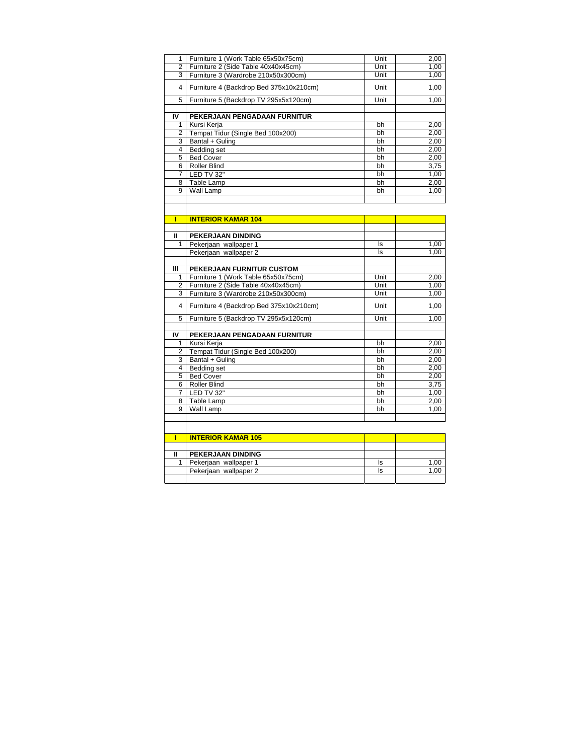| 1                       | Furniture 1 (Work Table 65x50x75cm)     | Unit | 2,00 |
|-------------------------|-----------------------------------------|------|------|
| $\overline{2}$          | Furniture 2 (Side Table 40x40x45cm)     | Unit | 1,00 |
| 3                       | Furniture 3 (Wardrobe 210x50x300cm)     | Unit | 1,00 |
| $\overline{\mathbf{4}}$ | Furniture 4 (Backdrop Bed 375x10x210cm) | Unit | 1,00 |
| 5                       | Furniture 5 (Backdrop TV 295x5x120cm)   | Unit | 1,00 |
|                         |                                         |      |      |
| IV                      | PEKERJAAN PENGADAAN FURNITUR            |      |      |
| 1                       | Kursi Kerja                             | bh   | 2,00 |
| $\overline{2}$          | Tempat Tidur (Single Bed 100x200)       | bh   | 2,00 |
| 3                       | Bantal + Guling                         | bh   | 2,00 |
| $\overline{4}$          | <b>Bedding set</b>                      | bh   | 2,00 |
| 5                       | <b>Bed Cover</b>                        | bh   | 2,00 |
| 6                       | <b>Roller Blind</b>                     | bh   | 3,75 |
| 7                       | LED TV 32"                              | bh   | 1,00 |
| 8                       | Table Lamp                              | bh   | 2,00 |
| 9                       | Wall Lamp                               | bh   | 1,00 |
|                         |                                         |      |      |
|                         |                                         |      |      |
| П                       | <b>INTERIOR KAMAR 104</b>               |      |      |
|                         |                                         |      |      |
| Ш                       | PEKERJAAN DINDING                       |      |      |
| 1                       | Pekerjaan wallpaper 1                   | ls   | 1,00 |
|                         | Pekerjaan wallpaper 2                   | ls   | 1,00 |
|                         |                                         |      |      |
| Ш                       | PEKERJAAN FURNITUR CUSTOM               |      |      |
| 1                       | Furniture 1 (Work Table 65x50x75cm)     | Unit | 2,00 |
| 2                       | Furniture 2 (Side Table 40x40x45cm)     | Unit | 1,00 |
| 3                       | Furniture 3 (Wardrobe 210x50x300cm)     | Unit | 1,00 |
| $\overline{4}$          | Furniture 4 (Backdrop Bed 375x10x210cm) | Unit | 1,00 |
| 5                       | Furniture 5 (Backdrop TV 295x5x120cm)   | Unit | 1,00 |
|                         |                                         |      |      |
| I۷                      |                                         |      |      |
|                         | PEKERJAAN PENGADAAN FURNITUR            |      |      |
| 1                       | Kursi Kerja                             | bh   | 2,00 |
| $\overline{2}$          | Tempat Tidur (Single Bed 100x200)       | bh   | 2,00 |
| 3                       | Bantal + Guling                         | bh   | 2,00 |
| $\overline{4}$          | Bedding set                             | bh   | 2,00 |
| 5                       | <b>Bed Cover</b>                        | bh   | 2,00 |
| 6                       | <b>Roller Blind</b>                     | bh   | 3,75 |
| 7                       | LED TV 32"                              | bh   | 1,00 |
| 8                       | Table Lamp                              | bh   | 2,00 |
| 9                       | Wall Lamp                               | bh   | 1,00 |
|                         |                                         |      |      |
| П                       | <b>INTERIOR KAMAR 105</b>               |      |      |
|                         |                                         |      |      |
| Ш                       | PEKERJAAN DINDING                       |      |      |

Pekerjaan wallpaper 2 ls 1,00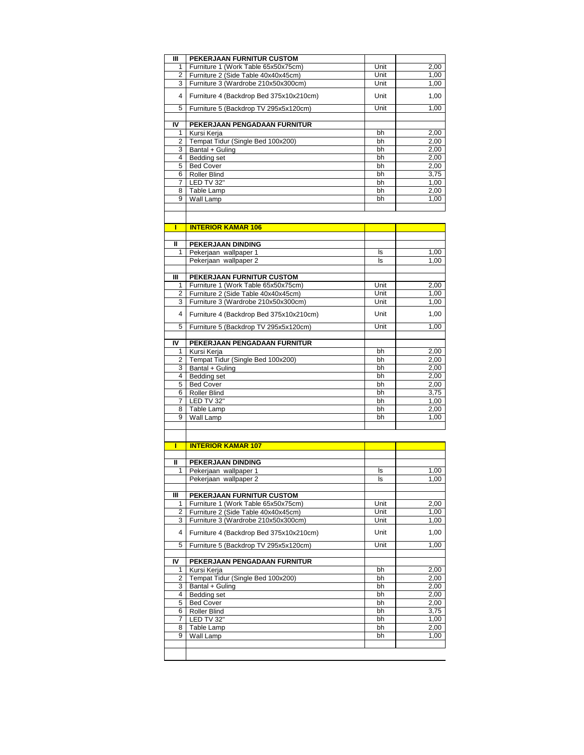| ш              | PEKERJAAN FURNITUR CUSTOM               |      |      |
|----------------|-----------------------------------------|------|------|
| 1              | Furniture 1 (Work Table 65x50x75cm)     | Unit | 2,00 |
| $\overline{2}$ | Furniture 2 (Side Table 40x40x45cm)     | Unit | 1,00 |
| 3              | Furniture 3 (Wardrobe 210x50x300cm)     | Unit | 1,00 |
| 4              | Furniture 4 (Backdrop Bed 375x10x210cm) | Unit | 1,00 |
| 5              | Furniture 5 (Backdrop TV 295x5x120cm)   | Unit | 1,00 |
|                |                                         |      |      |
| IV             | PEKERJAAN PENGADAAN FURNITUR            |      |      |
| 1              | Kursi Kerja                             | bh   | 2,00 |
| $\overline{2}$ | Tempat Tidur (Single Bed 100x200)       | bh   | 2,00 |
| 3              | Bantal + Guling                         | bh   | 2,00 |
| 4              | Bedding set                             | bh   | 2,00 |
| 5              | <b>Bed Cover</b>                        | bh   | 2,00 |
| 6              | <b>Roller Blind</b>                     | bh   | 3,75 |
| 7              | LED TV 32"                              | bh   | 1,00 |
| 8              | Table Lamp                              | bh   | 2,00 |
| 9              | Wall Lamp                               | bh   | 1,00 |
|                |                                         |      |      |
|                |                                         |      |      |

|    | <b>INTERIOR KAMAR 106</b>               |      |      |
|----|-----------------------------------------|------|------|
|    |                                         |      |      |
| Ш  | PEKERJAAN DINDING                       |      |      |
| 1  | Pekerjaan wallpaper 1                   | ls   | 1,00 |
|    | Pekerjaan wallpaper 2                   | ls.  | 1,00 |
|    |                                         |      |      |
| Ш  | PEKERJAAN FURNITUR CUSTOM               |      |      |
| 1  | Furniture 1 (Work Table 65x50x75cm)     | Unit | 2,00 |
| 2  | Furniture 2 (Side Table 40x40x45cm)     | Unit | 1,00 |
| 3  | Furniture 3 (Wardrobe 210x50x300cm)     | Unit | 1,00 |
| 4  | Furniture 4 (Backdrop Bed 375x10x210cm) | Unit | 1,00 |
| 5  | Furniture 5 (Backdrop TV 295x5x120cm)   | Unit | 1,00 |
|    |                                         |      |      |
| IV | PEKERJAAN PENGADAAN FURNITUR            |      |      |
| 1  | Kursi Kerja                             | bh   | 2,00 |
| 2  | Tempat Tidur (Single Bed 100x200)       | bh   | 2,00 |
| 3  | Bantal + Guling                         | bh   | 2,00 |
| 4  | Bedding set                             | bh   | 2,00 |
| 5  | <b>Bed Cover</b>                        | bh   | 2,00 |
| 6  | <b>Roller Blind</b>                     | bh   | 3,75 |
| 7  | LED TV 32"                              | bh   | 1,00 |
| 8  | Table Lamp                              | bh   | 2,00 |
| 9  | Wall Lamp                               | bh   | 1,00 |
|    |                                         |      |      |

| п              | <b>INTERIOR KAMAR 107</b>               |      |      |
|----------------|-----------------------------------------|------|------|
|                |                                         |      |      |
| Ш              | PEKERJAAN DINDING                       |      |      |
| 1              | Pekerjaan wallpaper 1                   | ls.  | 1,00 |
|                | Pekerjaan wallpaper 2                   | ls.  | 1,00 |
|                |                                         |      |      |
| ш              | PEKERJAAN FURNITUR CUSTOM               |      |      |
| 1              | Furniture 1 (Work Table 65x50x75cm)     | Unit | 2,00 |
| $\overline{2}$ | Furniture 2 (Side Table 40x40x45cm)     | Unit | 1,00 |
| 3              | Furniture 3 (Wardrobe 210x50x300cm)     | Unit | 1,00 |
| 4              | Furniture 4 (Backdrop Bed 375x10x210cm) | Unit | 1,00 |
| 5              | Furniture 5 (Backdrop TV 295x5x120cm)   | Unit | 1,00 |
|                |                                         |      |      |
| IV             | PEKERJAAN PENGADAAN FURNITUR            |      |      |
| 1              | Kursi Kerja                             | bh   | 2,00 |
| 2              | Tempat Tidur (Single Bed 100x200)       | bh   | 2,00 |
| 3              | Bantal + Guling                         | bh   | 2,00 |
| 4              | Bedding set                             | bh   | 2,00 |
| 5              | <b>Bed Cover</b>                        | bh   | 2,00 |
| 6              | <b>Roller Blind</b>                     | bh   | 3,75 |
| $\overline{7}$ | LED TV 32"                              | bh   | 1,00 |
| 8              | Table Lamp                              | bh   | 2,00 |
| 9              | Wall Lamp                               | bh   | 1.00 |
|                |                                         |      |      |
|                |                                         |      |      |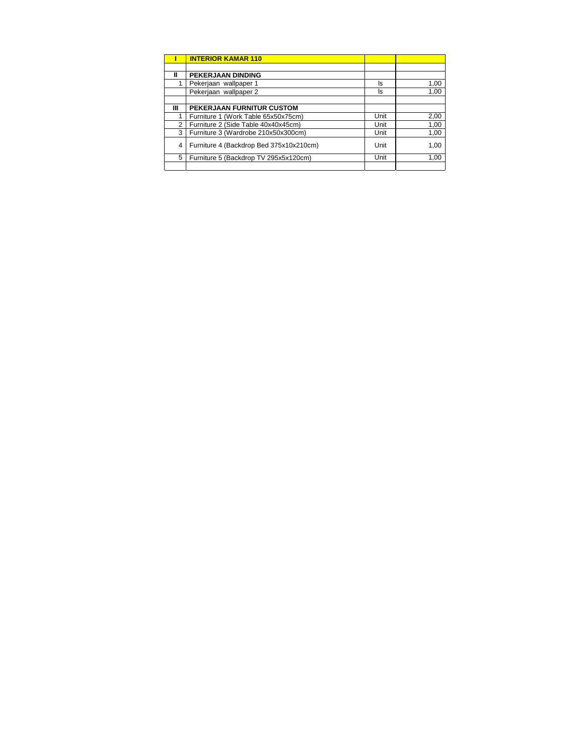|   | <b>INTERIOR KAMAR 110</b>               |      |      |
|---|-----------------------------------------|------|------|
|   |                                         |      |      |
| Ш | PEKERJAAN DINDING                       |      |      |
|   | Pekerjaan wallpaper 1                   | ls   | 1,00 |
|   | Pekerjaan wallpaper 2                   | ls   | 1,00 |
|   |                                         |      |      |
| Ш | PEKERJAAN FURNITUR CUSTOM               |      |      |
|   | Furniture 1 (Work Table 65x50x75cm)     | Unit | 2,00 |
| 2 | Furniture 2 (Side Table 40x40x45cm)     | Unit | 1,00 |
| 3 | Furniture 3 (Wardrobe 210x50x300cm)     | Unit | 1,00 |
| 4 | Furniture 4 (Backdrop Bed 375x10x210cm) | Unit | 1,00 |
| 5 | Furniture 5 (Backdrop TV 295x5x120cm)   | Unit | 1,00 |
|   |                                         |      |      |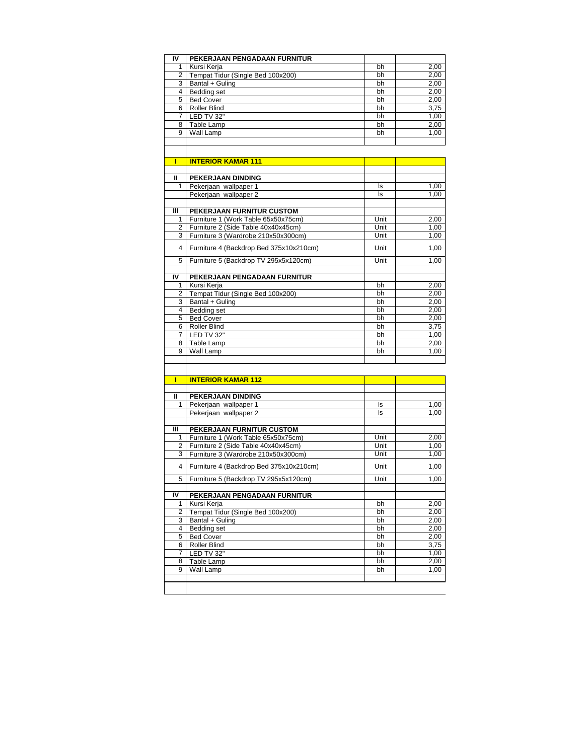| I۷           | PEKERJAAN PENGADAAN FURNITUR            |          |              |
|--------------|-----------------------------------------|----------|--------------|
| $\mathbf{1}$ | Kursi Kerja                             | bh       | 2,00         |
| 2            | Tempat Tidur (Single Bed 100x200)       | bh       | 2,00         |
| 3            | Bantal + Guling                         | bh       | 2,00         |
| 4            | Bedding set                             | bh       | 2,00         |
| 5            | <b>Bed Cover</b>                        | bh       | 2,00         |
| 6            | <b>Roller Blind</b>                     | bh       | 3,75         |
| 7            | LED TV 32"                              | bh       | 1,00         |
| 8            | Table Lamp                              | bh       | 2,00         |
| 9            | Wall Lamp                               | bh       | 1,00         |
|              |                                         |          |              |
|              |                                         |          |              |
| Г            |                                         |          |              |
|              | <b>INTERIOR KAMAR 111</b>               |          |              |
| Ш            | PEKERJAAN DINDING                       |          |              |
| 1            | Pekerjaan wallpaper 1                   | ls       | 1,00         |
|              | Pekerjaan wallpaper 2                   | ls       | 1,00         |
|              |                                         |          |              |
| Ш            | PEKERJAAN FURNITUR CUSTOM               |          |              |
| 1            | Furniture 1 (Work Table 65x50x75cm)     | Unit     | 2,00         |
| 2            | Furniture 2 (Side Table 40x40x45cm)     | Unit     | 1,00         |
| 3            | Furniture 3 (Wardrobe 210x50x300cm)     | Unit     | 1,00         |
|              |                                         |          |              |
| 4            | Furniture 4 (Backdrop Bed 375x10x210cm) | Unit     | 1,00         |
| 5            | Furniture 5 (Backdrop TV 295x5x120cm)   | Unit     | 1,00         |
|              |                                         |          |              |
| IV           | PEKERJAAN PENGADAAN FURNITUR            |          |              |
| 1            | Kursi Kerja                             | bh       | 2,00         |
| 2            | Tempat Tidur (Single Bed 100x200)       | bh       | 2,00         |
| 3            | Bantal + Guling                         | bh       | 2,00         |
| 4            | <b>Bedding set</b>                      | bh       | 2,00         |
| 5            | <b>Bed Cover</b>                        | bh       | 2,00         |
| 6            | <b>Roller Blind</b>                     | bh       | 3,75         |
| 7            | LED TV 32"                              | bh       | 1,00         |
| 8            | Table Lamp                              | bh       | 2,00         |
| 9            | Wall Lamp                               | bh       | 1,00         |
|              |                                         |          |              |
|              |                                         |          |              |
| ī            | <b>INTERIOR KAMAR 112</b>               |          |              |
|              |                                         |          |              |
| Ш            | PEKERJAAN DINDING                       |          |              |
| 1            | Pekerjaan wallpaper 1                   | ls       | 1,00         |
|              | Pekerjaan wallpaper 2                   | ls.      | 1,00         |
|              |                                         |          |              |
| Ш            | PEKERJAAN FURNITUR CUSTOM               |          |              |
| 1            | Furniture 1 (Work Table 65x50x75cm)     | Unit     | 2,00         |
| 2            | Furniture 2 (Side Table 40x40x45cm)     | Unit     | 1,00         |
| 3            | Furniture 3 (Wardrobe 210x50x300cm)     | Unit     | 1,00         |
| 4            | Furniture 4 (Backdrop Bed 375x10x210cm) | Unit     | 1,00         |
|              |                                         |          |              |
| 5            | Furniture 5 (Backdrop TV 295x5x120cm)   | Unit     | 1,00         |
|              |                                         |          |              |
| IV           | PEKERJAAN PENGADAAN FURNITUR            |          |              |
| 1            | Kursi Kerja                             | bh       | 2,00         |
| 2            | Tempat Tidur (Single Bed 100x200)       | bh       | 2,00         |
| 3<br>4       | Bantal + Guling<br><b>Bedding set</b>   | bh<br>bh | 2,00<br>2,00 |
| 5            | <b>Bed Cover</b>                        | bh       | 2,00         |
| 6            | Roller Blind                            | bh       | 3,75         |
| 7            | LED TV 32"                              | bh       | 1,00         |
| 8            | Table Lamp                              | bh       | 2,00         |
| 9            | Wall Lamp                               | bh       | 1,00         |
|              |                                         |          |              |
|              |                                         |          |              |
|              |                                         |          |              |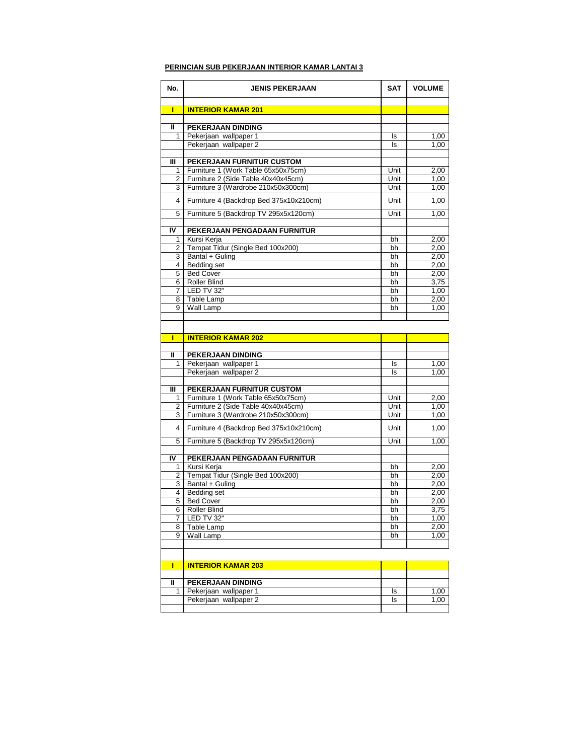### **PERINCIAN SUB PEKERJAAN INTERIOR KAMAR LANTAI 3**

| No.            | <b>JENIS PEKERJAAN</b>                  | <b>SAT</b> | <b>VOLUME</b> |
|----------------|-----------------------------------------|------------|---------------|
|                |                                         |            |               |
| П              | <b>INTERIOR KAMAR 201</b>               |            |               |
|                |                                         |            |               |
| Ш              | PEKERJAAN DINDING                       |            |               |
| 1              | Pekerjaan wallpaper 1                   | ls         | 1,00<br>1.00  |
|                | Pekerjaan wallpaper 2                   | ls         |               |
| Ш              | PEKERJAAN FURNITUR CUSTOM               |            |               |
| 1              | Furniture 1 (Work Table 65x50x75cm)     | Unit       | 2,00          |
| 2              | Furniture 2 (Side Table 40x40x45cm)     | Unit       | 1,00          |
| 3              | Furniture 3 (Wardrobe 210x50x300cm)     | Unit       | 1,00          |
| 4              | Furniture 4 (Backdrop Bed 375x10x210cm) | Unit       | 1,00          |
| 5              | Furniture 5 (Backdrop TV 295x5x120cm)   | Unit       | 1,00          |
|                |                                         |            |               |
| $\overline{N}$ | PEKERJAAN PENGADAAN FURNITUR            |            |               |
| 1              | Kursi Kerja                             | bh         | 2,00          |
| 2              | Tempat Tidur (Single Bed 100x200)       | bh         | 2,00          |
| 3              | Bantal + Guling                         | bh         | 2,00          |
| 4              | Bedding set                             | bh         | 2,00          |
| 5              | <b>Bed Cover</b>                        | bh         | 2,00          |
| 6              | <b>Roller Blind</b>                     | bh         | 3,75          |
| 7<br>8         | LED TV 32"<br>Table Lamp                | bh<br>bh   | 1,00<br>2,00  |
| 9              | Wall Lamp                               | bh         | 1.00          |
|                |                                         |            |               |
|                |                                         |            |               |
| П              | <b>INTERIOR KAMAR 202</b>               |            |               |
|                |                                         |            |               |
| Ш              | PEKERJAAN DINDING                       |            |               |
| 1              | Pekerjaan wallpaper 1                   | ls         | 1,00          |
|                | Pekerjaan wallpaper 2                   | ls         | 1,00          |
|                |                                         |            |               |
| Ш              | PEKERJAAN FURNITUR CUSTOM               |            |               |
| 1              | Furniture 1 (Work Table 65x50x75cm)     | Unit       | 2,00          |
| 2              | Furniture 2 (Side Table 40x40x45cm)     | Unit       | 1,00          |
| 3              | Furniture 3 (Wardrobe 210x50x300cm)     | Unit       | 1,00          |
| 4              | Furniture 4 (Backdrop Bed 375x10x210cm) | Unit       | 1,00          |
| 5              | Furniture 5 (Backdrop TV 295x5x120cm)   | Unit       | 1,00          |
| IV             | PEKERJAAN PENGADAAN FURNITUR            |            |               |
| 1              | Kursi Kerja                             | bh         | 2,00          |
| 2              | Tempat Tidur (Single Bed 100x200)       | bh         | 2,00          |
| 3              | Bantal + Guling                         | bh         | 2,00          |
| 4              | Bedding set                             | bh         | 2,00          |
| 5              | <b>Bed Cover</b>                        | bh         | 2,00          |
| 6              | <b>Roller Blind</b>                     | bh         | 3,75          |
| 7              | LED TV 32"                              | bh         | 1,00          |
| 8              | Table Lamp                              | bh         | 2,00          |
| 9              | Wall Lamp                               | bh         | 1,00          |
|                |                                         |            |               |
| ı              | <b>INTERIOR KAMAR 203</b>               |            |               |
|                |                                         |            |               |
| Ш              | PEKERJAAN DINDING                       |            |               |
| 1              | Pekerjaan wallpaper 1                   | ls         | 1,00          |
|                | Pekerjaan wallpaper 2                   | ls         | 1,00          |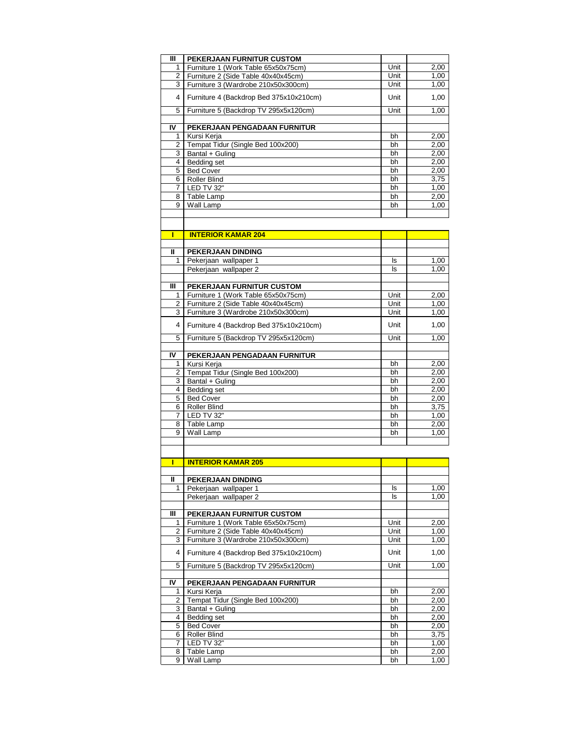| Ш  | PEKERJAAN FURNITUR CUSTOM               |      |      |
|----|-----------------------------------------|------|------|
| 1  | Furniture 1 (Work Table 65x50x75cm)     | Unit | 2,00 |
| 2  | Furniture 2 (Side Table 40x40x45cm)     | Unit | 1,00 |
| 3  | Furniture 3 (Wardrobe 210x50x300cm)     | Unit | 1,00 |
| 4  | Furniture 4 (Backdrop Bed 375x10x210cm) | Unit | 1,00 |
| 5  | Furniture 5 (Backdrop TV 295x5x120cm)   | Unit | 1.00 |
|    |                                         |      |      |
| IV | PEKERJAAN PENGADAAN FURNITUR            |      |      |
| 1  | Kursi Keria                             | bh   | 2,00 |
| 2  | Tempat Tidur (Single Bed 100x200)       | bh   | 2,00 |
| 3  | Bantal + Guling                         | bh   | 2,00 |
| 4  | Bedding set                             | bh   | 2,00 |
| 5  | <b>Bed Cover</b>                        | bh   | 2,00 |
| 6  | Roller Blind                            | bh   | 3,75 |
| 7  | LED TV 32"                              | bh   | 1,00 |
| 8  | Table Lamp                              | bh   | 2,00 |
| 9  | Wall Lamp                               | bh   | 1.00 |
|    |                                         |      |      |

| П              | <b>INTERIOR KAMAR 204</b>               |      |      |
|----------------|-----------------------------------------|------|------|
|                |                                         |      |      |
| $\mathbf{u}$   | PEKERJAAN DINDING                       |      |      |
| 1              | Pekerjaan wallpaper 1                   | ls.  | 1,00 |
|                | Pekerjaan wallpaper 2                   | ls   | 1,00 |
|                |                                         |      |      |
| Ш              | PEKERJAAN FURNITUR CUSTOM               |      |      |
| 1              | Furniture 1 (Work Table 65x50x75cm)     | Unit | 2,00 |
| 2              | Furniture 2 (Side Table 40x40x45cm)     | Unit | 1,00 |
| 3              | Furniture 3 (Wardrobe 210x50x300cm)     | Unit | 1,00 |
| 4              | Furniture 4 (Backdrop Bed 375x10x210cm) | Unit | 1,00 |
| 5              | Furniture 5 (Backdrop TV 295x5x120cm)   | Unit | 1,00 |
|                |                                         |      |      |
| IV             | PEKERJAAN PENGADAAN FURNITUR            |      |      |
| 1              | Kursi Kerja                             | bh   | 2,00 |
| $\overline{2}$ | Tempat Tidur (Single Bed 100x200)       | bh   | 2,00 |
| 3              | Bantal + Guling                         | bh   | 2,00 |
| 4              | Bedding set                             | bh   | 2,00 |
| 5              | <b>Bed Cover</b>                        | bh   | 2,00 |
| 6              | <b>Roller Blind</b>                     | bh   | 3,75 |
| $\overline{7}$ | LED TV 32"                              | bh   | 1,00 |
| 8              | Table Lamp                              | bh   | 2,00 |
| 9              | Wall Lamp                               | bh   | 1,00 |
|                |                                         |      |      |

| Π              | <b>INTERIOR KAMAR 205</b>               |      |      |
|----------------|-----------------------------------------|------|------|
|                |                                         |      |      |
| Ш              | PEKERJAAN DINDING                       |      |      |
| 1              | Pekerjaan wallpaper 1                   | ls   | 1,00 |
|                | Pekerjaan wallpaper 2                   | ls   | 1,00 |
|                |                                         |      |      |
| Ш              | PEKERJAAN FURNITUR CUSTOM               |      |      |
| 1              | Furniture 1 (Work Table 65x50x75cm)     | Unit | 2,00 |
| $\overline{2}$ | Furniture 2 (Side Table 40x40x45cm)     | Unit | 1,00 |
| 3              | Furniture 3 (Wardrobe 210x50x300cm)     | Unit | 1,00 |
| 4              | Furniture 4 (Backdrop Bed 375x10x210cm) | Unit | 1,00 |
| 5              | Furniture 5 (Backdrop TV 295x5x120cm)   | Unit | 1,00 |
|                |                                         |      |      |
| I۷             | PEKERJAAN PENGADAAN FURNITUR            |      |      |
| 1              | Kursi Kerja                             | bh   | 2,00 |
| $\overline{2}$ | Tempat Tidur (Single Bed 100x200)       | bh   | 2,00 |
| 3              | Bantal + Guling                         | bh   | 2,00 |
| 4              | Bedding set                             | bh   | 2,00 |
| 5              | <b>Bed Cover</b>                        | bh   | 2,00 |
| 6              | <b>Roller Blind</b>                     | bh   | 3,75 |
| $\overline{7}$ | LED TV 32"                              | bh   | 1,00 |
| 8              | Table Lamp                              | bh   | 2,00 |
| 9              | Wall Lamp                               | bh   | 1,00 |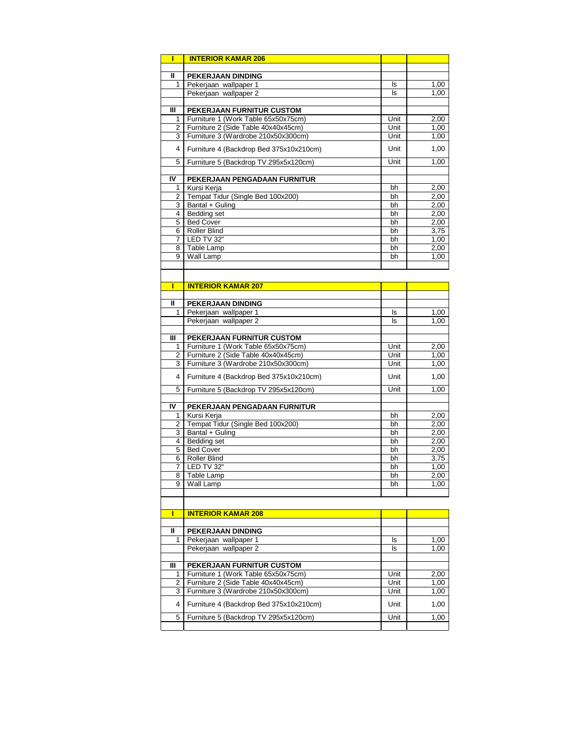| Π      | <b>INTERIOR KAMAR 206</b>               |          |              |
|--------|-----------------------------------------|----------|--------------|
|        |                                         |          |              |
| Ш      | PEKERJAAN DINDING                       |          |              |
| 1      | Pekerjaan wallpaper 1                   | ls       | 1,00         |
|        | Pekerjaan wallpaper 2                   | ls       | 1,00         |
| Ш      | PEKERJAAN FURNITUR CUSTOM               |          |              |
| 1      | Furniture 1 (Work Table 65x50x75cm)     | Unit     | 2,00         |
| 2      | Furniture 2 (Side Table 40x40x45cm)     | Unit     | 1,00         |
| 3      | Furniture 3 (Wardrobe 210x50x300cm)     | Unit     | 1,00         |
| 4      | Furniture 4 (Backdrop Bed 375x10x210cm) | Unit     | 1,00         |
|        |                                         |          |              |
| 5      | Furniture 5 (Backdrop TV 295x5x120cm)   | Unit     | 1,00         |
| IV     | PEKERJAAN PENGADAAN FURNITUR            |          |              |
| 1      | Kursi Kerja                             | bh       | 2,00         |
| 2      | Tempat Tidur (Single Bed 100x200)       | bh       | 2,00         |
| 3      | Bantal + Guling                         | bh       | 2,00         |
| 4      | <b>Bedding set</b>                      | bh       | 2,00         |
| 5      | <b>Bed Cover</b>                        | bh       | 2,00         |
| 6<br>7 | <b>Roller Blind</b><br>LED TV 32"       | bh<br>bh | 3,75<br>1,00 |
| 8      | Table Lamp                              | bh       | 2,00         |
| 9      | Wall Lamp                               | bh       | 1,00         |
|        |                                         |          |              |
|        |                                         |          |              |
| Π      | <b>INTERIOR KAMAR 207</b>               |          |              |
|        |                                         |          |              |
| Ш      | PEKERJAAN DINDING                       |          |              |
| 1      | Pekerjaan wallpaper 1                   | ls       | 1,00         |
|        | Pekerjaan wallpaper 2                   | ls       | 1,00         |
| Ш      | PEKERJAAN FURNITUR CUSTOM               |          |              |
| 1      | Furniture 1 (Work Table 65x50x75cm)     | Unit     | 2,00         |
| 2      | Furniture 2 (Side Table 40x40x45cm)     | Unit     | 1,00         |
| 3      | Furniture 3 (Wardrobe 210x50x300cm)     | Unit     | 1,00         |
| 4      | Furniture 4 (Backdrop Bed 375x10x210cm) | Unit     | 1,00         |
|        |                                         |          |              |
| 5      | Furniture 5 (Backdrop TV 295x5x120cm)   | Unit     | 1,00         |
| IV     | PEKERJAAN PENGADAAN FURNITUR            |          |              |
| 1      | Kursi Kerja                             | bh       | 2,00         |
| 2      | Tempat Tidur (Single Bed 100x200)       | bh       | 2,00         |
| 3      | Bantal + Guling                         | bh       | 2,00         |
| 4      | <b>Bedding set</b>                      | bh       | 2,00         |
| 5      | <b>Bed Cover</b>                        | bh       | 2,00         |
| 6      | <b>Roller Blind</b><br>LED TV 32"       | bh       | 3,75         |
| 7<br>8 | Table Lamp                              | bh<br>bh | 1,00<br>2,00 |
| 9      | Wall Lamp                               | bh       | 1,00         |
|        |                                         |          |              |
|        |                                         |          |              |
| ı      | <b>INTERIOR KAMAR 208</b>               |          |              |
|        |                                         |          |              |
| Ш      | PEKERJAAN DINDING                       |          |              |
| 1      | Pekerjaan wallpaper 1                   | ls       | 1,00         |
|        | Pekerjaan wallpaper 2                   | ls       | 1,00         |
| Ш      | PEKERJAAN FURNITUR CUSTOM               |          |              |
| 1      | Furniture 1 (Work Table 65x50x75cm)     | Unit     | 2,00         |
| 2      | Furniture 2 (Side Table 40x40x45cm)     | Unit     | 1,00         |
| 3      | Furniture 3 (Wardrobe 210x50x300cm)     | Unit     | 1,00         |
| 4      | Furniture 4 (Backdrop Bed 375x10x210cm) | Unit     | 1,00         |
|        |                                         |          |              |
| 5      | Furniture 5 (Backdrop TV 295x5x120cm)   | Unit     | 1,00         |
|        |                                         |          |              |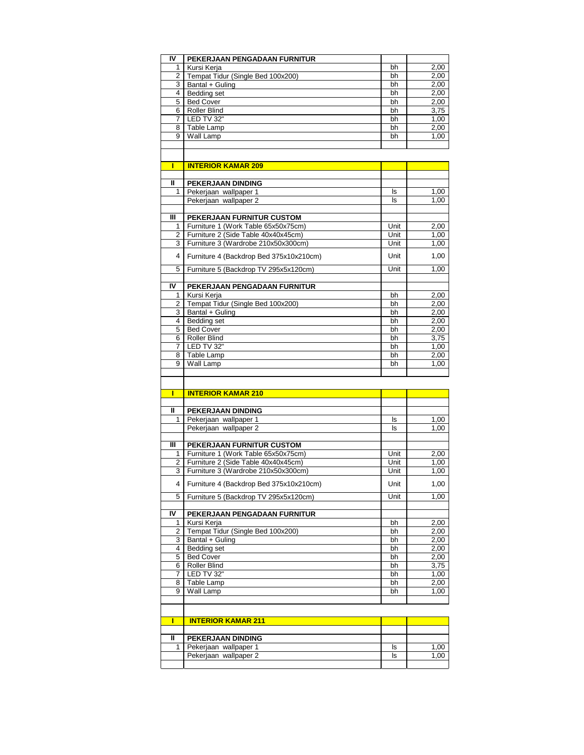| IV             | PEKERJAAN PENGADAAN FURNITUR                |          |              |
|----------------|---------------------------------------------|----------|--------------|
| 1              | Kursi Kerja                                 | bh       | 2,00         |
| 2              | Tempat Tidur (Single Bed 100x200)           | bh       | 2,00         |
| 3              | Bantal + Guling                             | bh       | 2,00         |
|                | 4 Bedding set                               | bh       | 2,00         |
|                | 5 Bed Cover                                 | bh       | 2,00         |
|                | 6 Roller Blind                              | bh       | 3,75         |
| 7              | LED TV 32"                                  | bh       | 1,00         |
|                | 8 Table Lamp                                | bh       | 2,00         |
|                | 9 Wall Lamp                                 | bh       | 1,00         |
|                |                                             |          |              |
|                |                                             |          |              |
| П              | <b>INTERIOR KAMAR 209</b>                   |          |              |
| $\mathbf{u}$   | PEKERJAAN DINDING                           |          |              |
| 1              | Pekerjaan wallpaper 1                       | ls       | 1,00         |
|                | Pekerjaan wallpaper 2                       | ls       | 1,00         |
|                |                                             |          |              |
| III            | PEKERJAAN FURNITUR CUSTOM                   |          |              |
| 1              | Furniture 1 (Work Table 65x50x75cm)         | Unit     | 2,00         |
| $\overline{2}$ | Furniture 2 (Side Table 40x40x45cm)         | Unit     | 1.00         |
| 3              | Furniture 3 (Wardrobe 210x50x300cm)         | Unit     | 1,00         |
| 4              | Furniture 4 (Backdrop Bed 375x10x210cm)     | Unit     | 1,00         |
| 5              | Furniture 5 (Backdrop TV 295x5x120cm)       | Unit     | 1,00         |
| IV             | PEKERJAAN PENGADAAN FURNITUR                |          |              |
| 1              | Kursi Kerja                                 | bh       | 2,00         |
| 2              | Tempat Tidur (Single Bed 100x200)           | bh       | 2,00         |
|                | 3 Bantal + Guling                           | bh       | 2,00         |
| 4              | Bedding set                                 | bh       | 2,00         |
| 5              | <b>Bed Cover</b>                            | bh       | 2,00         |
| 6              | <b>Roller Blind</b>                         | bh       | 3,75         |
| 7              | LED TV 32"                                  | bh       | 1,00         |
|                |                                             |          |              |
| 8              | Table Lamp                                  | bh       | 2,00         |
| 9              | Wall Lamp                                   | bh       | 1,00         |
|                |                                             |          |              |
| П              | <b>INTERIOR KAMAR 210</b>                   |          |              |
| $\mathbf{I}$   | PEKERJAAN DINDING                           |          |              |
| 1              | Pekerjaan wallpaper 1                       | ls       | 1,00         |
|                | Pekerjaan wallpaper 2                       | ls       | 1,00         |
|                |                                             |          |              |
|                |                                             |          |              |
|                | PEKERJAAN FURNITUR CUSTOM                   |          |              |
| 1              | Furniture 1 (Work Table 65x50x75cm)         | Unit     | 2,00         |
| Ш<br>2         | Furniture 2 (Side Table 40x40x45cm)         | Unit     | 1,00         |
|                | 3   Furniture 3 (Wardrobe 210x50x300cm)     | Unit     | 1,00         |
| 4              | Furniture 4 (Backdrop Bed 375x10x210cm)     | Unit     | 1,00         |
| 5              | Furniture 5 (Backdrop TV 295x5x120cm)       | Unit     | 1,00         |
|                |                                             |          |              |
| 1              | PEKERJAAN PENGADAAN FURNITUR<br>Kursi Kerja | bh       | 2,00         |
| 2              | Tempat Tidur (Single Bed 100x200)           | bh       |              |
|                |                                             |          | 2,00         |
| 3              | Bantal + Guling                             | bh       | 2,00         |
| IV<br>4        | Bedding set                                 | bh       | 2,00         |
| 5              | <b>Bed Cover</b>                            | bh       | 2,00         |
| 6              | Roller Blind                                | bh       | 3,75         |
| 7              | LED TV 32"                                  | bh       | 1,00         |
| 8<br>9         | Table Lamp<br>Wall Lamp                     | bh<br>bh | 2,00<br>1,00 |

|   | <b>INTERIOR KAMAR 211</b> |    |     |
|---|---------------------------|----|-----|
|   |                           |    |     |
| " | <b>PEKERJAAN DINDING</b>  |    |     |
|   | Pekerjaan wallpaper 1     | Is | .00 |
|   | Pekerjaan wallpaper 2     | Is | ,00 |
|   |                           |    |     |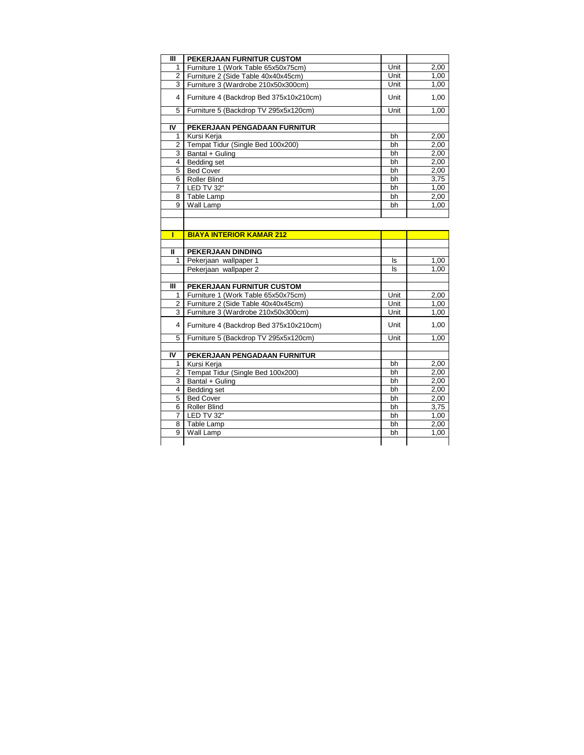| Ш              | PEKERJAAN FURNITUR CUSTOM               |      |      |
|----------------|-----------------------------------------|------|------|
| 1              | Furniture 1 (Work Table 65x50x75cm)     | Unit | 2,00 |
| 2              | Furniture 2 (Side Table 40x40x45cm)     | Unit | 1,00 |
| 3              | Furniture 3 (Wardrobe 210x50x300cm)     | Unit | 1,00 |
| $\overline{4}$ | Furniture 4 (Backdrop Bed 375x10x210cm) | Unit | 1,00 |
| 5              | Furniture 5 (Backdrop TV 295x5x120cm)   | Unit | 1,00 |
|                |                                         |      |      |
| IV             | PEKERJAAN PENGADAAN FURNITUR            |      |      |
| 1              | Kursi Kerja                             | bh   | 2,00 |
| 2              | Tempat Tidur (Single Bed 100x200)       | bh   | 2,00 |
| 3              | Bantal + Guling                         | bh   | 2,00 |
| 4              | Bedding set                             | bh   | 2,00 |
| 5              | <b>Bed Cover</b>                        | bh   | 2,00 |
| 6              | <b>Roller Blind</b>                     | bh   | 3,75 |
| 7              | LED TV 32"                              | bh   | 1,00 |
| 8              | Table Lamp                              | bh   | 2,00 |
| 9              | Wall Lamp                               | bh   | 1.00 |
|                |                                         |      |      |
|                |                                         |      |      |

|              | <b>BIAYA INTERIOR KAMAR 212</b>         |      |      |
|--------------|-----------------------------------------|------|------|
| $\mathbf{u}$ | <b>PEKERJAAN DINDING</b>                |      |      |
| 1            | Pekerjaan wallpaper 1                   | ls.  | 1,00 |
|              | Pekerjaan wallpaper 2                   | ls   | 1,00 |
|              |                                         |      |      |
| Ш            | PEKERJAAN FURNITUR CUSTOM               |      |      |
| 1            | Furniture 1 (Work Table 65x50x75cm)     | Unit | 2,00 |
| 2            | Furniture 2 (Side Table 40x40x45cm)     | Unit | 1,00 |
| 3            | Furniture 3 (Wardrobe 210x50x300cm)     | Unit | 1,00 |
| 4            | Furniture 4 (Backdrop Bed 375x10x210cm) | Unit | 1,00 |
| 5            | Furniture 5 (Backdrop TV 295x5x120cm)   | Unit | 1,00 |
|              |                                         |      |      |
|              |                                         |      |      |
| IV           | PEKERJAAN PENGADAAN FURNITUR            |      |      |
| 1            | Kursi Kerja                             | bh   | 2,00 |
| 2            | Tempat Tidur (Single Bed 100x200)       | bh   | 2,00 |
| 3            | Bantal + Guling                         | bh   | 2,00 |
| 4            | Bedding set                             | bh   | 2,00 |
| 5            | <b>Bed Cover</b>                        | bh   | 2,00 |
| 6            | Roller Blind                            | bh   | 3,75 |
| 7            | LED TV 32"                              | bh   | 1,00 |
| 8            | Table Lamp                              | bh   | 2,00 |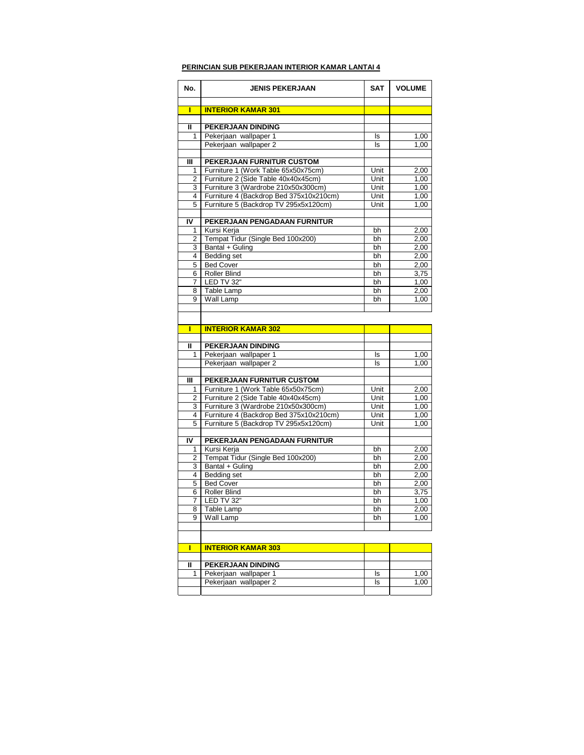### **PERINCIAN SUB PEKERJAAN INTERIOR KAMAR LANTAI 4**

| No.    | <b>JENIS PEKERJAAN</b>                                                           | <b>SAT</b>   | <b>VOLUME</b> |
|--------|----------------------------------------------------------------------------------|--------------|---------------|
|        |                                                                                  |              |               |
| П      | <b>INTERIOR KAMAR 301</b>                                                        |              |               |
| Ш      | PEKERJAAN DINDING                                                                |              |               |
| 1      | Pekerjaan wallpaper 1                                                            | ls           | 1,00          |
|        | Pekerjaan wallpaper 2                                                            | ls           | 1,00          |
|        |                                                                                  |              |               |
| Ш      | <b>PEKERJAAN FURNITUR CUSTOM</b>                                                 |              |               |
| 1      | Furniture 1 (Work Table 65x50x75cm)                                              | Unit         | 2,00          |
| 2      | Furniture 2 (Side Table 40x40x45cm)                                              | Unit         | 1.00          |
| 3<br>4 | Furniture 3 (Wardrobe 210x50x300cm)                                              | Unit<br>Unit | 1,00          |
| 5      | Furniture 4 (Backdrop Bed 375x10x210cm)<br>Furniture 5 (Backdrop TV 295x5x120cm) | Unit         | 1,00<br>1,00  |
|        |                                                                                  |              |               |
| IV     | PEKERJAAN PENGADAAN FURNITUR                                                     |              |               |
| 1      | Kursi Kerja                                                                      | bh           | 2,00          |
| 2      | Tempat Tidur (Single Bed 100x200)                                                | bh           | 2,00          |
| 3      | Bantal + Guling                                                                  | bh           | 2,00          |
| 4      | Bedding set                                                                      | bh           | 2,00          |
| 5      | <b>Bed Cover</b>                                                                 | bh           | 2,00          |
| 6      | <b>Roller Blind</b>                                                              | bh           | 3,75          |
| 7      | LED TV 32"                                                                       | bh           | 1,00          |
| 8<br>9 | Table Lamp                                                                       | bh           | 2,00          |
|        | Wall Lamp                                                                        | bh           | 1,00          |
|        |                                                                                  |              |               |
|        |                                                                                  |              |               |
| Г      | <b>INTERIOR KAMAR 302</b>                                                        |              |               |
| Ш      | PEKERJAAN DINDING                                                                |              |               |
| 1      | Pekerjaan wallpaper 1                                                            | ls           | 1,00          |
|        | Pekerjaan wallpaper 2                                                            | ls           | 1,00          |
|        |                                                                                  |              |               |
| Ш      | PEKERJAAN FURNITUR CUSTOM                                                        |              |               |
| 1      | Furniture 1 (Work Table 65x50x75cm)                                              | Unit         | 2,00          |
| 2      | Furniture 2 (Side Table 40x40x45cm)                                              | Unit         | 1,00          |
| 3      | Furniture 3 (Wardrobe 210x50x300cm)                                              | Unit         | 1,00          |
| 4      | Furniture 4 (Backdrop Bed 375x10x210cm)                                          | Unit         | 1,00          |
| 5      | Furniture 5 (Backdrop TV 295x5x120cm)                                            | Unit         | 1,00          |
| IV     | PEKERJAAN PENGADAAN FURNITUR                                                     |              |               |
| 1      | Kursi Kerja                                                                      | bh           | 2,00          |
| 2      | Tempat Tidur (Single Bed 100x200)                                                | bh           | 2,00          |
| 3      | Bantal + Guling                                                                  | bh           | 2,00          |
| 4      | Bedding set                                                                      | bh           | 2,00          |
| 5      | <b>Bed Cover</b>                                                                 | bh           | 2,00          |
| 6      | Roller Blind                                                                     | bh           | 3,75          |
| 7      | LED TV 32"                                                                       | bh           | 1,00          |
| 8      | Table Lamp                                                                       | bh           | 2,00          |
| 9      | Wall Lamp                                                                        | bh           | 1,00          |
|        |                                                                                  |              |               |
| Г      | <b>INTERIOR KAMAR 303</b>                                                        |              |               |
|        |                                                                                  |              |               |
| Ш      | PEKERJAAN DINDING                                                                |              |               |
| 1      | Pekerjaan wallpaper 1<br>Pekerjaan wallpaper 2                                   | ls           | 1,00          |
|        |                                                                                  | ls           | 1,00          |
|        |                                                                                  |              |               |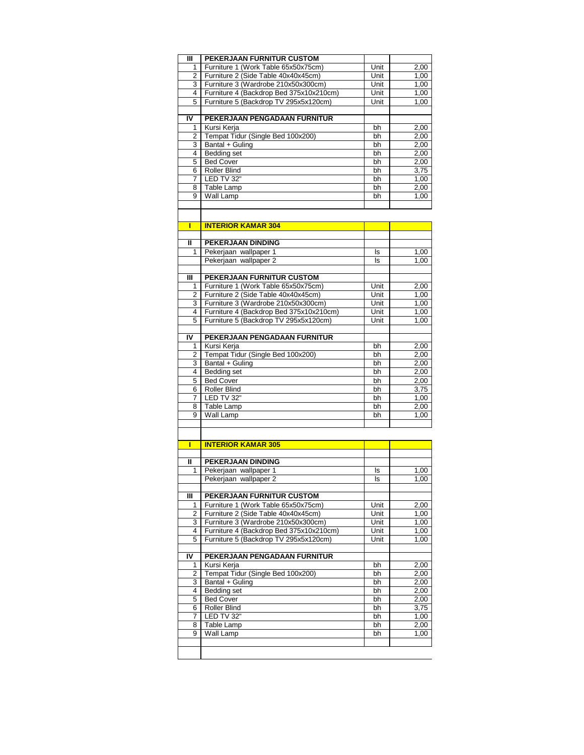| Ш            | PEKERJAAN FURNITUR CUSTOM               |      |      |
|--------------|-----------------------------------------|------|------|
| 1            | Furniture 1 (Work Table 65x50x75cm)     | Unit | 2,00 |
| 2            | Furniture 2 (Side Table 40x40x45cm)     | Unit | 1,00 |
| 3            | Furniture 3 (Wardrobe 210x50x300cm)     | Unit | 1,00 |
| 4            | Furniture 4 (Backdrop Bed 375x10x210cm) | Unit | 1,00 |
| 5            | Furniture 5 (Backdrop TV 295x5x120cm)   | Unit | 1,00 |
|              |                                         |      |      |
| IV           | PEKERJAAN PENGADAAN FURNITUR            |      |      |
| 1            | Kursi Kerja                             | bh   | 2,00 |
| 2            | Tempat Tidur (Single Bed 100x200)       | bh   | 2,00 |
| 3            | Bantal + Guling                         | bh   | 2,00 |
| 4            | <b>Bedding set</b>                      | bh   | 2,00 |
| 5            | <b>Bed Cover</b>                        | bh   | 2,00 |
| 6            | <b>Roller Blind</b>                     | bh   | 3,75 |
| 7            | LED TV 32"                              | bh   | 1,00 |
| 8            | Table Lamp                              | bh   | 2,00 |
| 9            | Wall Lamp                               | bh   | 1,00 |
|              |                                         |      |      |
|              |                                         |      |      |
|              |                                         |      |      |
| П            | <b>INTERIOR KAMAR 304</b>               |      |      |
|              |                                         |      |      |
| $\mathbf{I}$ | <b>PEKERJAAN DINDING</b>                |      |      |
| 1            | Pekerjaan wallpaper 1                   | ls   | 1,00 |
|              | Pekerjaan wallpaper 2                   | ls   | 1.00 |
|              |                                         |      |      |
| Ш            | PEKERJAAN FURNITUR CUSTOM               |      |      |
| 1            | Furniture 1 (Work Table 65x50x75cm)     | Unit | 2,00 |
| 2            | Furniture 2 (Side Table 40x40x45cm)     | Unit | 1,00 |
| 3            | Furniture 3 (Wardrobe 210x50x300cm)     | Unit | 1.00 |
| 4            | Furniture 4 (Backdrop Bed 375x10x210cm) | Unit | 1,00 |
| 5            | Furniture 5 (Backdrop TV 295x5x120cm)   | Unit | 1,00 |
|              |                                         |      |      |
| IV           | PEKERJAAN PENGADAAN FURNITUR            |      |      |
| 1            | Kursi Kerja                             | bh   | 2,00 |
| 2            | Tempat Tidur (Single Bed 100x200)       | bh   | 2,00 |
| 3            | Bantal + Guling                         | bh   | 2,00 |
| 4            | <b>Bedding set</b>                      | bh   | 2,00 |
| 5            | <b>Bed Cover</b>                        | bh   | 2,00 |
| 6            | Roller Blind                            | bh   | 3,75 |
| 7            | LED TV 32"                              | bh   | 1,00 |
| 8            | Table Lamp                              | bh   | 2,00 |
| 9            | Wall Lamp                               | bh   | 1,00 |
|              |                                         |      |      |
|              |                                         |      |      |
| Т            | <b>INTERIOR KAMAR 305</b>               |      |      |
|              |                                         |      |      |
| Ш            | PEKERJAAN DINDING                       |      |      |
| 1            | Pekerjaan wallpaper 1                   | ls   | 1,00 |
|              | Pekerjaan wallpaper 2                   | ls   | 1,00 |
|              |                                         |      |      |
| Ш            | PEKERJAAN FURNITUR CUSTOM               |      |      |
| 1            | Furniture 1 (Work Table 65x50x75cm)     | Unit | 2,00 |
| 2            | Furniture 2 (Side Table 40x40x45cm)     | Unit | 1,00 |
| 3            | Furniture 3 (Wardrobe 210x50x300cm)     | Unit | 1,00 |
| 4            | Furniture 4 (Backdrop Bed 375x10x210cm) | Unit | 1,00 |
| 5            | Furniture 5 (Backdrop TV 295x5x120cm)   | Unit | 1,00 |
|              |                                         |      |      |
|              |                                         |      |      |
| IV           | PEKERJAAN PENGADAAN FURNITUR            |      |      |
| 1            | Kursi Kerja                             | bh   | 2,00 |
| 2            | Tempat Tidur (Single Bed 100x200)       | bh   | 2,00 |
| 3            | Bantal + Guling                         | bh   | 2,00 |
| 4            | Bedding set                             | bh   | 2,00 |
| 5            | <b>Bed Cover</b>                        | bh   | 2,00 |
| 6            | Roller Blind                            | bh   | 3,75 |
| 7            | LED TV 32"                              | bh   | 1,00 |
| 8            | Table Lamp                              | bh   | 2,00 |
| 9            | Wall Lamp                               | bh   | 1,00 |
|              |                                         |      |      |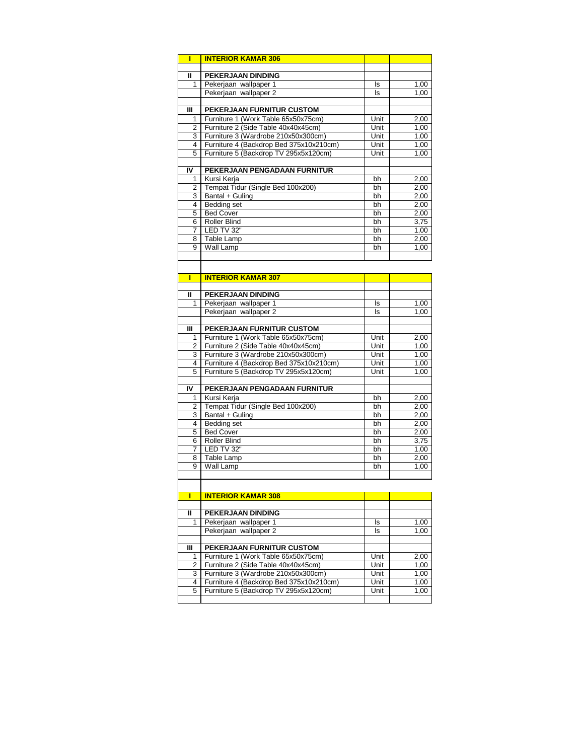| Π              | <b>INTERIOR KAMAR 306</b>                                                        |              |              |
|----------------|----------------------------------------------------------------------------------|--------------|--------------|
|                |                                                                                  |              |              |
| $\mathbf{I}$   | <b>PEKERJAAN DINDING</b>                                                         |              |              |
| 1              | Pekerjaan wallpaper 1                                                            | ls           | 1,00         |
|                | Pekerjaan wallpaper 2                                                            | ls           | 1,00         |
|                |                                                                                  |              |              |
| Ш              | PEKERJAAN FURNITUR CUSTOM                                                        |              |              |
| 1              | Furniture 1 (Work Table 65x50x75cm)                                              | Unit         | 2,00         |
| 2              | Furniture 2 (Side Table 40x40x45cm)                                              | Unit         | 1,00         |
| 3              | Furniture 3 (Wardrobe 210x50x300cm)                                              | Unit         | 1,00         |
| 4<br>5         | Furniture 4 (Backdrop Bed 375x10x210cm)<br>Furniture 5 (Backdrop TV 295x5x120cm) | Unit<br>Unit | 1,00<br>1,00 |
|                |                                                                                  |              |              |
| I۷             | PEKERJAAN PENGADAAN FURNITUR                                                     |              |              |
| 1              | Kursi Kerja                                                                      | bh           | 2,00         |
| 2              | Tempat Tidur (Single Bed 100x200)                                                | bh           | 2,00         |
| 3              | Bantal + Guling                                                                  | bh           | 2,00         |
| 4              | Bedding set                                                                      | bh           | 2,00         |
| 5              | <b>Bed Cover</b>                                                                 | bh           | 2,00         |
| 6              | Roller Blind                                                                     | bh           | 3,75         |
| 7              | LED TV 32"                                                                       | bh           | 1,00         |
| 8              | Table Lamp                                                                       | bh           | 2,00         |
| 9              | Wall Lamp                                                                        | bh           | 1,00         |
|                |                                                                                  |              |              |
|                |                                                                                  |              |              |
| П              | <b>INTERIOR KAMAR 307</b>                                                        |              |              |
|                |                                                                                  |              |              |
| Ш              | <b>PEKERJAAN DINDING</b>                                                         |              |              |
| 1              | Pekerjaan wallpaper 1                                                            | ls           | 1,00         |
|                | Pekerjaan wallpaper 2                                                            | ls           | 1,00         |
| Ш              | PEKERJAAN FURNITUR CUSTOM                                                        |              |              |
| 1              | Furniture 1 (Work Table 65x50x75cm)                                              | Unit         | 2,00         |
| 2              | Furniture 2 (Side Table 40x40x45cm)                                              | Unit         | 1,00         |
| 3              | Furniture 3 (Wardrobe 210x50x300cm)                                              | Unit         | 1,00         |
| 4              | Furniture 4 (Backdrop Bed 375x10x210cm)                                          | Unit         | 1,00         |
| 5              | Furniture 5 (Backdrop TV 295x5x120cm)                                            | Unit         | 1,00         |
|                |                                                                                  |              |              |
| IV             | PEKERJAAN PENGADAAN FURNITUR                                                     |              |              |
| 1              | Kursi Kerja                                                                      | bh           | 2,00         |
| $\overline{2}$ | Tempat Tidur (Single Bed 100x200)                                                | bh           | 2,00         |
| 3              | Bantal + Guling                                                                  | bh           | 2,00         |
| 4              | <b>Bedding set</b>                                                               | bh           | 2,00         |
| 5              | <b>Bed Cover</b>                                                                 | bh           | 2,00         |
| 6              | Roller Blind                                                                     | bh           | 3,75         |
| 7              | LED TV 32"                                                                       | bh           | 1,00         |
| 8              | Table Lamp                                                                       | bh           | 2,00         |
| 9              | Wall Lamp                                                                        | bh           | 1,00         |
|                |                                                                                  |              |              |
|                |                                                                                  |              |              |
| ı              | <b>INTERIOR KAMAR 308</b>                                                        |              |              |
| Ш              | PEKERJAAN DINDING                                                                |              |              |
| 1              | Pekerjaan wallpaper 1                                                            | ls           | 1,00         |
|                | Pekerjaan wallpaper 2                                                            | ls           | 1,00         |
|                |                                                                                  |              |              |
| Ш              | PEKERJAAN FURNITUR CUSTOM                                                        |              |              |
| 1              | Furniture 1 (Work Table 65x50x75cm)                                              | Unit         | 2,00         |
| 2              | Furniture 2 (Side Table 40x40x45cm)                                              | Unit         | 1,00         |
| 3              | Furniture 3 (Wardrobe 210x50x300cm)                                              | Unit         | 1,00         |
| 4              | Furniture 4 (Backdrop Bed 375x10x210cm)                                          | Unit         | 1,00         |
| 5              | Furniture 5 (Backdrop TV 295x5x120cm)                                            | Unit         | 1,00         |
|                |                                                                                  |              |              |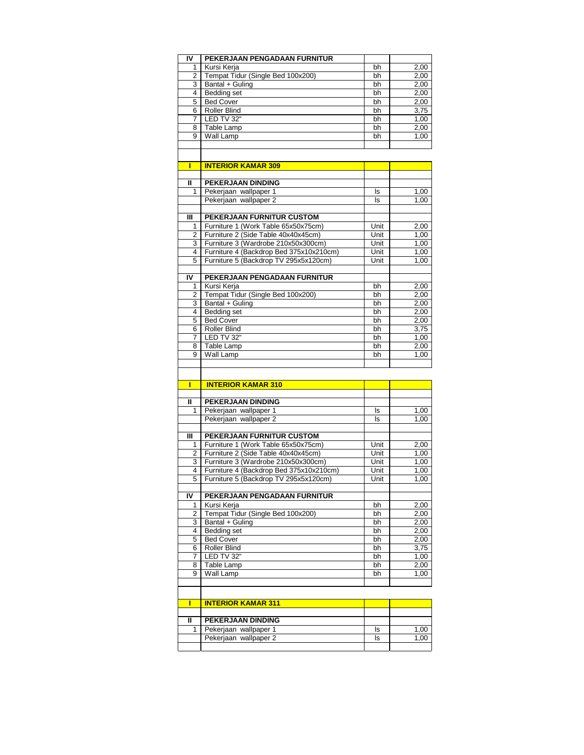| I۷                    | PEKERJAAN PENGADAAN FURNITUR            |      |      |
|-----------------------|-----------------------------------------|------|------|
| 1                     | Kursi Kerja                             | bh   | 2,00 |
| $\mathbf{2}^{\prime}$ | Tempat Tidur (Single Bed 100x200)       | bh   | 2,00 |
| 3                     | Bantal + Guling                         | bh   | 2,00 |
| 4                     | Bedding set                             | bh   | 2,00 |
| 5                     | <b>Bed Cover</b>                        | bh   | 2,00 |
|                       |                                         |      |      |
| 6                     | Roller Blind                            | bh   | 3,75 |
| 7                     | LED TV 32"                              | bh   | 1,00 |
| 8                     | Table Lamp                              | bh   | 2,00 |
| 9                     | Wall Lamp                               | bh   | 1,00 |
|                       |                                         |      |      |
|                       |                                         |      |      |
| П                     |                                         |      |      |
|                       | <b>INTERIOR KAMAR 309</b>               |      |      |
| Ш                     | PEKERJAAN DINDING                       |      |      |
|                       |                                         |      |      |
| 1                     | Pekerjaan wallpaper 1                   | ls   | 1,00 |
|                       | Pekerjaan wallpaper 2                   | ls   | 1,00 |
|                       |                                         |      |      |
| Ш                     | PEKERJAAN FURNITUR CUSTOM               |      |      |
| 1                     | Furniture 1 (Work Table 65x50x75cm)     | Unit | 2,00 |
| 2                     | Furniture 2 (Side Table 40x40x45cm)     | Unit | 1,00 |
| 3                     | Furniture 3 (Wardrobe 210x50x300cm)     | Unit | 1,00 |
| 4                     | Furniture 4 (Backdrop Bed 375x10x210cm) | Unit | 1,00 |
| 5                     | Furniture 5 (Backdrop TV 295x5x120cm)   | Unit | 1,00 |
|                       |                                         |      |      |
| I۷                    | PEKERJAAN PENGADAAN FURNITUR            |      |      |
| 1                     | Kursi Kerja                             | bh   | 2,00 |
|                       |                                         |      |      |
| 2                     | Tempat Tidur (Single Bed 100x200)       | bh   | 2,00 |
| 3                     | Bantal + Guling                         | bh   | 2,00 |
| 4                     | Bedding set                             | bh   | 2.00 |
| 5                     | <b>Bed Cover</b>                        | bh   | 2,00 |
| 6                     | <b>Roller Blind</b>                     | bh   | 3,75 |
| 7                     | LED TV 32"                              | bh   | 1,00 |
| 8                     | Table Lamp                              | bh   | 2,00 |
| 9                     | <b>Wall Lamp</b>                        | bh   | 1,00 |
|                       |                                         |      |      |
|                       |                                         |      |      |
|                       |                                         |      |      |
|                       |                                         |      |      |
| П                     | <b>INTERIOR KAMAR 310</b>               |      |      |
|                       |                                         |      |      |
| Ш                     | <b>PEKERJAAN DINDING</b>                |      |      |
| 1                     | Pekerjaan wallpaper 1                   | ls   | 1,00 |
|                       | Pekerjaan wallpaper 2                   | ls   | 1,00 |
|                       |                                         |      |      |
| Ш                     | PEKERJAAN FURNITUR CUSTOM               |      |      |
| 1                     | Furniture 1 (Work Table 65x50x75cm)     | Unit | 2,00 |
| 2                     |                                         |      |      |
|                       | Furniture 2 (Side Table 40x40x45cm)     | Unit | 1,00 |
| 3                     | Furniture 3 (Wardrobe 210x50x300cm)     | Unit | 1,00 |
| 4                     | Furniture 4 (Backdrop Bed 375x10x210cm) | Unit | 1,00 |
| 5                     | Furniture 5 (Backdrop TV 295x5x120cm)   | Unit | 1.00 |
|                       |                                         |      |      |
| IV                    | PEKERJAAN PENGADAAN FURNITUR            |      |      |
| 1                     | Kursi Kerja                             | bh   | 2,00 |
| 2                     | Tempat Tidur (Single Bed 100x200)       | bh   | 2,00 |
| 3                     | Bantal + Guling                         | bh   | 2,00 |
| 4                     | <b>Bedding set</b>                      | bh   | 2,00 |
| 5                     | <b>Bed Cover</b>                        | bh   | 2,00 |
| 6                     | <b>Roller Blind</b>                     | bh   | 3,75 |
| 7                     | LED TV 32"                              | bh   | 1,00 |
| 8                     |                                         | bh   | 2,00 |
|                       | Table Lamp                              |      |      |
| 9                     | Wall Lamp                               | bh   | 1,00 |
|                       |                                         |      |      |
|                       |                                         |      |      |
| Π                     | <b>INTERIOR KAMAR 311</b>               |      |      |
|                       |                                         |      |      |
| Ш                     | PEKERJAAN DINDING                       |      |      |
| 1                     | Pekerjaan wallpaper 1                   | ls   | 1,00 |
|                       | Pekerjaan wallpaper 2                   | ls   |      |
|                       |                                         |      | 1,00 |